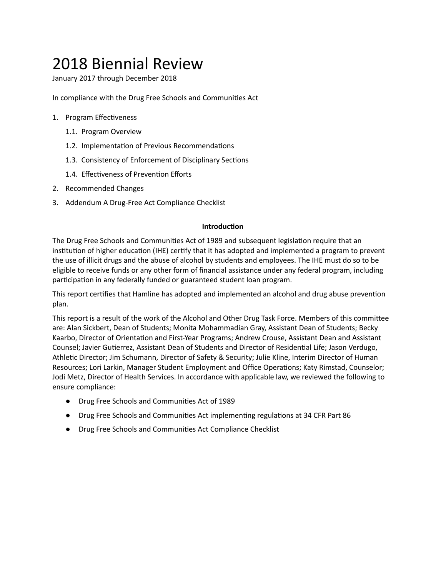# 2018 Biennial Review

January 2017 through December 2018

In compliance with the Drug Free Schools and Communities Act

- 1. Program Effectiveness
	- 1.1. Program Overview
	- 1.2. Implementation of Previous Recommendations
	- 1.3. Consistency of Enforcement of Disciplinary Sections
	- 1.4. Effectiveness of Prevention Efforts
- 2. Recommended Changes
- 3. Addendum A Drug-Free Act Compliance Checklist

#### **Introduction**

The Drug Free Schools and Communities Act of 1989 and subsequent legislation require that an institution of higher education (IHE) certify that it has adopted and implemented a program to prevent the use of illicit drugs and the abuse of alcohol by students and employees. The IHE must do so to be eligible to receive funds or any other form of financial assistance under any federal program, including participation in any federally funded or guaranteed student loan program.

This report certifies that Hamline has adopted and implemented an alcohol and drug abuse prevention plan.

This report is a result of the work of the Alcohol and Other Drug Task Force. Members of this committee are: Alan Sickbert, Dean of Students; Monita Mohammadian Gray, Assistant Dean of Students; Becky Kaarbo, Director of Orientation and First-Year Programs; Andrew Crouse, Assistant Dean and Assistant Counsel; Javier Gutierrez, Assistant Dean of Students and Director of Residential Life; Jason Verdugo, Athletic Director; Jim Schumann, Director of Safety & Security; Julie Kline, Interim Director of Human Resources; Lori Larkin, Manager Student Employment and Office Operations; Katy Rimstad, Counselor; Jodi Metz, Director of Health Services. In accordance with applicable law, we reviewed the following to ensure compliance:

- Drug Free Schools and Communies Act of 1989
- Drug Free Schools and Communities Act implementing regulations at 34 CFR Part 86
- Drug Free Schools and Communies Act Compliance Checklist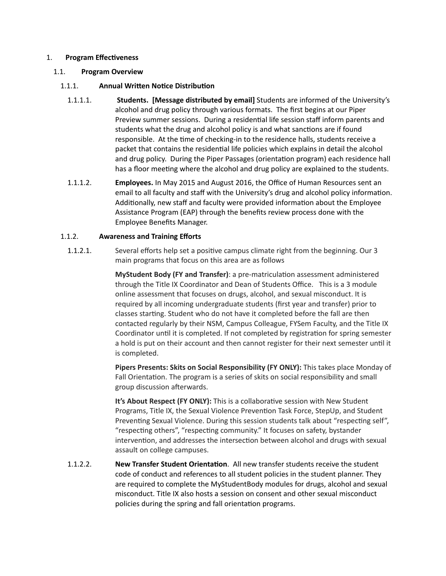#### 1. **Program Effectiveness**

#### 1.1. **Program Overview**

# 1.1.1. **Annual Written Notice Distribution**

- 1.1.1.1. **Students. [Message distributed by email]** Students are informed of the University's alcohol and drug policy through various formats. The first begins at our Piper Preview summer sessions. During a residential life session staff inform parents and students what the drug and alcohol policy is and what sanctions are if found responsible. At the time of checking-in to the residence halls, students receive a packet that contains the residential life policies which explains in detail the alcohol and drug policy. During the Piper Passages (orientation program) each residence hall has a floor meeting where the alcohol and drug policy are explained to the students.
- 1.1.1.2. **Employees.** In May 2015 and August 2016, the Office of Human Resources sent an email to all faculty and staff with the University's drug and alcohol policy information. Additionally, new staff and faculty were provided information about the Employee Assistance Program (EAP) through the benefits review process done with the Employee Benefits Manager.

# 1.1.2. **Awareness and Training Efforts**

1.1.2.1. Several efforts help set a positive campus climate right from the beginning. Our 3 main programs that focus on this area are as follows

> **MyStudent Body (FY and Transfer):** a pre-matriculation assessment administered through the Title IX Coordinator and Dean of Students Office. This is a 3 module online assessment that focuses on drugs, alcohol, and sexual misconduct. It is required by all incoming undergraduate students (first year and transfer) prior to classes starting. Student who do not have it completed before the fall are then contacted regularly by their NSM, Campus Colleague, FYSem Faculty, and the Title IX Coordinator until it is completed. If not completed by registration for spring semester a hold is put on their account and then cannot register for their next semester until it is completed.

> **Pipers Presents: Skits on Social Responsibility (FY ONLY):** This takes place Monday of Fall Orientation. The program is a series of skits on social responsibility and small group discussion afterwards.

**It's About Respect (FY ONLY):** This is a collaborative session with New Student Programs, Title IX, the Sexual Violence Prevention Task Force, StepUp, and Student Preventing Sexual Violence. During this session students talk about "respecting self", "respecting others", "respecting community." It focuses on safety, bystander intervention, and addresses the intersection between alcohol and drugs with sexual assault on college campuses.

1.1.2.2. **New Transfer Student Orientation**. All new transfer students receive the student code of conduct and references to all student policies in the student planner. They are required to complete the MyStudentBody modules for drugs, alcohol and sexual misconduct. Title IX also hosts a session on consent and other sexual misconduct policies during the spring and fall orientation programs.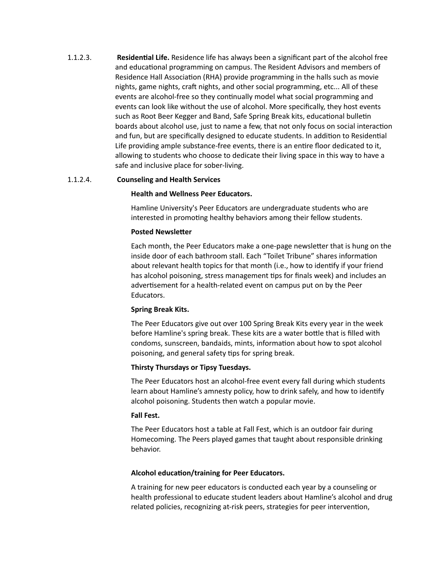1.1.2.3. **Residential Life.** Residence life has always been a significant part of the alcohol free and educational programming on campus. The Resident Advisors and members of Residence Hall Association (RHA) provide programming in the halls such as movie nights, game nights, craft nights, and other social programming, etc... All of these events are alcohol-free so they continually model what social programming and events can look like without the use of alcohol. More specifically, they host events such as Root Beer Kegger and Band, Safe Spring Break kits, educational bulletin boards about alcohol use, just to name a few, that not only focus on social interaction and fun, but are specifically designed to educate students. In addition to Residential Life providing ample substance-free events, there is an entire floor dedicated to it, allowing to students who choose to dedicate their living space in this way to have a safe and inclusive place for sober-living.

#### 1.1.2.4. **Counseling and Health Services**

#### **Health and Wellness Peer Educators.**

Hamline University's Peer Educators are undergraduate students who are interested in promoting healthy behaviors among their fellow students.

#### **Posted Newsletter**

Each month, the Peer Educators make a one-page newsletter that is hung on the inside door of each bathroom stall. Each "Toilet Tribune" shares information about relevant health topics for that month (i.e., how to identify if your friend has alcohol poisoning, stress management tips for finals week) and includes an advertisement for a health-related event on campus put on by the Peer Educators.

#### **Spring Break Kits.**

The Peer Educators give out over 100 Spring Break Kits every year in the week before Hamline's spring break. These kits are a water bottle that is filled with condoms, sunscreen, bandaids, mints, information about how to spot alcohol poisoning, and general safety tips for spring break.

#### **Thirsty Thursdays or Tipsy Tuesdays.**

The Peer Educators host an alcohol-free event every fall during which students learn about Hamline's amnesty policy, how to drink safely, and how to identify alcohol poisoning. Students then watch a popular movie.

#### **Fall Fest.**

The Peer Educators host a table at Fall Fest, which is an outdoor fair during Homecoming. The Peers played games that taught about responsible drinking behavior.

#### **Alcohol education/training for Peer Educators.**

A training for new peer educators is conducted each year by a counseling or health professional to educate student leaders about Hamline's alcohol and drug related policies, recognizing at-risk peers, strategies for peer intervention,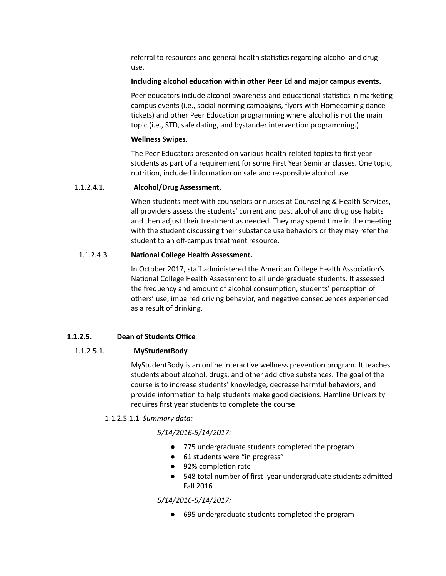referral to resources and general health statistics regarding alcohol and drug use.

#### **Including alcohol education within other Peer Ed and major campus events.**

Peer educators include alcohol awareness and educational statistics in marketing campus events (i.e., social norming campaigns, flyers with Homecoming dance tickets) and other Peer Education programming where alcohol is not the main topic (i.e., STD, safe dating, and bystander intervention programming.)

#### **Wellness Swipes.**

The Peer Educators presented on various health-related topics to first year students as part of a requirement for some First Year Seminar classes. One topic, nutrition, included information on safe and responsible alcohol use.

# 1.1.2.4.1. **Alcohol/Drug Assessment.**

When students meet with counselors or nurses at Counseling & Health Services, all providers assess the students' current and past alcohol and drug use habits and then adjust their treatment as needed. They may spend time in the meeting with the student discussing their substance use behaviors or they may refer the student to an off-campus treatment resource.

#### 1.1.2.4.3. **National College Health Assessment.**

In October 2017, staff administered the American College Health Association's National College Health Assessment to all undergraduate students. It assessed the frequency and amount of alcohol consumption, students' perception of others' use, impaired driving behavior, and negative consequences experienced as a result of drinking.

# **1.1.2.5. Dean of Students Office**

# 1.1.2.5.1. **MyStudentBody**

MyStudentBody is an online interactive wellness prevention program. It teaches students about alcohol, drugs, and other addictive substances. The goal of the course is to increase students' knowledge, decrease harmful behaviors, and provide information to help students make good decisions. Hamline University requires first year students to complete the course.

# 1.1.2.5.1.1 *Summary data:*

# *5/14/2016-5/14/2017:*

- 775 undergraduate students completed the program
- 61 students were "in progress"
- 92% completion rate
- 548 total number of first-year undergraduate students admitted Fall 2016

# *5/14/2016-5/14/2017:*

● 695 undergraduate students completed the program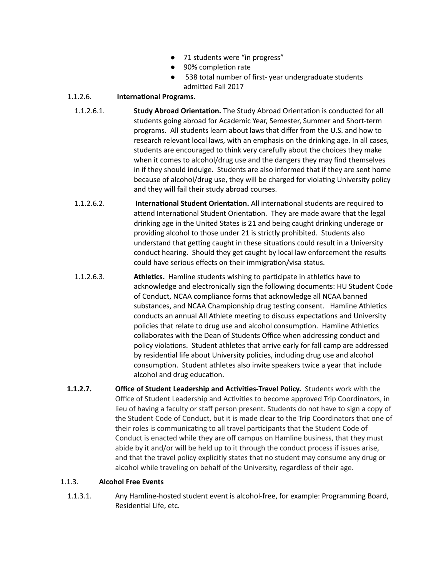- 71 students were "in progress"
- 90% completion rate
- 538 total number of first- year undergraduate students admitted Fall 2017

#### 1.1.2.6. **International Programs.**

- 1.1.2.6.1. **Study Abroad Orientation.** The Study Abroad Orientation is conducted for all students going abroad for Academic Year, Semester, Summer and Short-term programs. All students learn about laws that differ from the U.S. and how to research relevant local laws, with an emphasis on the drinking age. In all cases, students are encouraged to think very carefully about the choices they make when it comes to alcohol/drug use and the dangers they may find themselves in if they should indulge. Students are also informed that if they are sent home because of alcohol/drug use, they will be charged for violating University policy and they will fail their study abroad courses.
- 1.1.2.6.2. **International Student Orientation.** All international students are required to attend International Student Orientation. They are made aware that the legal drinking age in the United States is 21 and being caught drinking underage or providing alcohol to those under 21 is strictly prohibited. Students also understand that getting caught in these situations could result in a University conduct hearing. Should they get caught by local law enforcement the results could have serious effects on their immigration/visa status.
- 1.1.2.6.3. **Athletics.** Hamline students wishing to participate in athletics have to acknowledge and electronically sign the following documents: HU Student Code of Conduct, NCAA compliance forms that acknowledge all NCAA banned substances, and NCAA Championship drug testing consent. Hamline Athletics conducts an annual All Athlete meeting to discuss expectations and University policies that relate to drug use and alcohol consumption. Hamline Athletics collaborates with the Dean of Students Office when addressing conduct and policy violations. Student athletes that arrive early for fall camp are addressed by residential life about University policies, including drug use and alcohol consumption. Student athletes also invite speakers twice a year that include alcohol and drug education.
- **1.1.2.7. Office of Student Leadership and Activities-Travel Policy.** Students work with the Office of Student Leadership and Activities to become approved Trip Coordinators, in lieu of having a faculty or staff person present. Students do not have to sign a copy of the Student Code of Conduct, but it is made clear to the Trip Coordinators that one of their roles is communicating to all travel participants that the Student Code of Conduct is enacted while they are off campus on Hamline business, that they must abide by it and/or will be held up to it through the conduct process if issues arise, and that the travel policy explicitly states that no student may consume any drug or alcohol while traveling on behalf of the University, regardless of their age.

#### 1.1.3. **Alcohol Free Events**

1.1.3.1. Any Hamline-hosted student event is alcohol-free, for example: Programming Board, Residential Life, etc.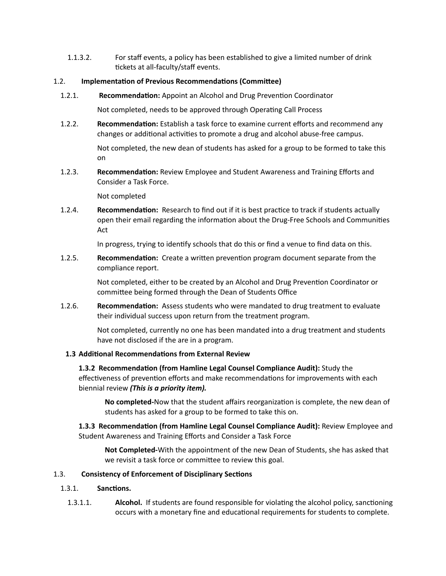1.1.3.2. For staff events, a policy has been established to give a limited number of drink tickets at all-faculty/staff events.

# 1.2. **Implementation of Previous Recommendations (Committee)**

1.2.1. **Recommendation:** Appoint an Alcohol and Drug Prevention Coordinator

Not completed, needs to be approved through Operating Call Process

1.2.2. **Recommendation:** Establish a task force to examine current efforts and recommend any changes or additional activities to promote a drug and alcohol abuse-free campus.

> Not completed, the new dean of students has asked for a group to be formed to take this on

1.2.3. **Recommendation:** Review Employee and Student Awareness and Training Efforts and Consider a Task Force.

Not completed

1.2.4. **Recommendation:** Research to find out if it is best practice to track if students actually open their email regarding the information about the Drug-Free Schools and Communities Act

In progress, trying to identify schools that do this or find a venue to find data on this.

1.2.5. **Recommendation:** Create a written prevention program document separate from the compliance report.

> Not completed, either to be created by an Alcohol and Drug Prevention Coordinator or committee being formed through the Dean of Students Office

1.2.6. **Recommendation:** Assess students who were mandated to drug treatment to evaluate their individual success upon return from the treatment program.

> Not completed, currently no one has been mandated into a drug treatment and students have not disclosed if the are in a program.

# **1.3 Addional Recommendaons from External Review**

**1.3.2 Recommendation (from Hamline Legal Counsel Compliance Audit): Study the** effectiveness of prevention efforts and make recommendations for improvements with each biennial review *(This is a priority item).*

No completed-Now that the student affairs reorganization is complete, the new dean of students has asked for a group to be formed to take this on.

**1.3.3 Recommendation (from Hamline Legal Counsel Compliance Audit): Review Employee and** Student Awareness and Training Efforts and Consider a Task Force

**Not Completed-**With the appointment of the new Dean of Students, she has asked that we revisit a task force or committee to review this goal.

# 1.3. **Consistency of Enforcement of Disciplinary Sections**

- 1.3.1. **Sanctions.** 
	- 1.3.1.1. **Alcohol.** If students are found responsible for violating the alcohol policy, sanctioning occurs with a monetary fine and educational requirements for students to complete.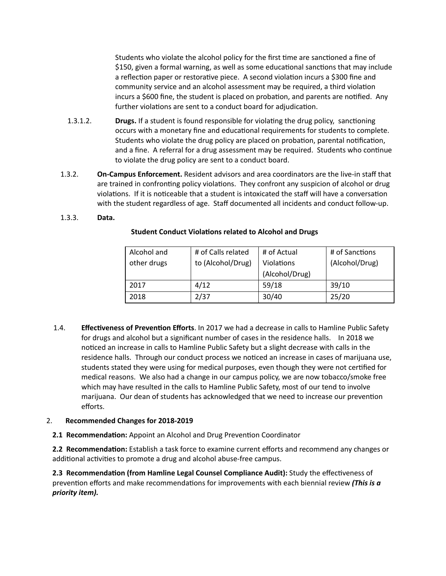Students who violate the alcohol policy for the first time are sanctioned a fine of \$150, given a formal warning, as well as some educational sanctions that may include a reflection paper or restorative piece. A second violation incurs a \$300 fine and community service and an alcohol assessment may be required, a third violation incurs a \$600 fine, the student is placed on probation, and parents are notified. Any further violations are sent to a conduct board for adjudication.

- 1.3.1.2. **Drugs.** If a student is found responsible for violating the drug policy, sanctioning occurs with a monetary fine and educational requirements for students to complete. Students who violate the drug policy are placed on probation, parental notification, and a fine. A referral for a drug assessment may be required. Students who continue to violate the drug policy are sent to a conduct board.
- 1.3.2. **On-Campus Enforcement.** Resident advisors and area coordinators are the live-in staff that are trained in confronting policy violations. They confront any suspicion of alcohol or drug violations. If it is noticeable that a student is intoxicated the staff will have a conversation with the student regardless of age. Staff documented all incidents and conduct follow-up.

#### 1.3.3. **Data.**

| Alcohol and | # of Calls related | # of Actual       | # of Sanctions |
|-------------|--------------------|-------------------|----------------|
| other drugs | to (Alcohol/Drug)  | <b>Violations</b> | (Alcohol/Drug) |
|             |                    | (Alcohol/Drug)    |                |
| 2017        | 4/12               | 59/18             | 39/10          |
| 2018        | 2/37               | 30/40             | 25/20          |

#### **Student Conduct Violations related to Alcohol and Drugs**

1.4. **Effectiveness of Prevention Efforts**. In 2017 we had a decrease in calls to Hamline Public Safety for drugs and alcohol but a significant number of cases in the residence halls. In 2018 we noticed an increase in calls to Hamline Public Safety but a slight decrease with calls in the residence halls. Through our conduct process we noticed an increase in cases of marijuana use, students stated they were using for medical purposes, even though they were not cerfied for medical reasons. We also had a change in our campus policy, we are now tobacco/smoke free which may have resulted in the calls to Hamline Public Safety, most of our tend to involve marijuana. Our dean of students has acknowledged that we need to increase our prevention efforts.

#### 2. **Recommended Changes for 2018-2019**

**2.1 Recommendation:** Appoint an Alcohol and Drug Prevention Coordinator

**2.2 Recommendation:** Establish a task force to examine current efforts and recommend any changes or additional activities to promote a drug and alcohol abuse-free campus.

**2.3 Recommendation (from Hamline Legal Counsel Compliance Audit): Study the effectiveness of** prevention efforts and make recommendations for improvements with each biennial review *(This is a priority item).*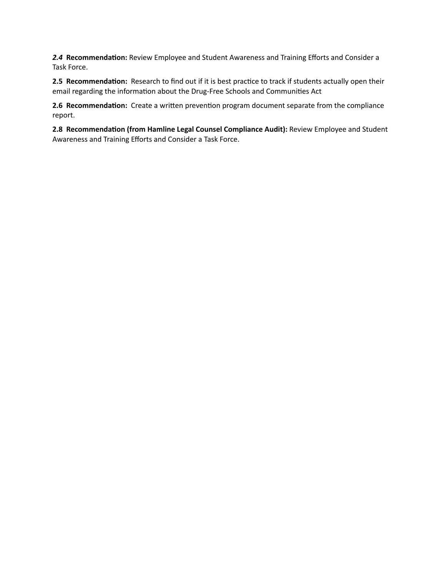2.4 Recommendation: Review Employee and Student Awareness and Training Efforts and Consider a Task Force.

2.5 Recommendation: Research to find out if it is best practice to track if students actually open their email regarding the information about the Drug-Free Schools and Communities Act

2.6 Recommendation: Create a written prevention program document separate from the compliance report.

2.8 Recommendation (from Hamline Legal Counsel Compliance Audit): Review Employee and Student Awareness and Training Efforts and Consider a Task Force.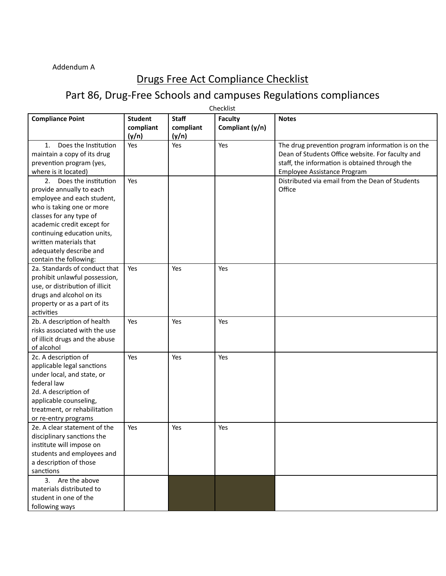# Addendum A

# Drugs Free Act Compliance Checklist

# Part 86, Drug-Free Schools and campuses Regulations compliances

|                                                                                                                                                                                                                                                                                          |                                      |                                    | Checklist                         |                                                                                                                                                                                        |
|------------------------------------------------------------------------------------------------------------------------------------------------------------------------------------------------------------------------------------------------------------------------------------------|--------------------------------------|------------------------------------|-----------------------------------|----------------------------------------------------------------------------------------------------------------------------------------------------------------------------------------|
| <b>Compliance Point</b>                                                                                                                                                                                                                                                                  | <b>Student</b><br>compliant<br>(y/n) | <b>Staff</b><br>compliant<br>(y/n) | <b>Faculty</b><br>Compliant (y/n) | <b>Notes</b>                                                                                                                                                                           |
| Does the Institution<br>1.<br>maintain a copy of its drug<br>prevention program (yes,<br>where is it located)                                                                                                                                                                            | Yes                                  | Yes                                | Yes                               | The drug prevention program information is on the<br>Dean of Students Office website. For faculty and<br>staff, the information is obtained through the<br>Employee Assistance Program |
| Does the institution<br>2.<br>provide annually to each<br>employee and each student,<br>who is taking one or more<br>classes for any type of<br>academic credit except for<br>continuing education units,<br>written materials that<br>adequately describe and<br>contain the following: | Yes                                  |                                    |                                   | Distributed via email from the Dean of Students<br>Office                                                                                                                              |
| 2a. Standards of conduct that<br>prohibit unlawful possession,<br>use, or distribution of illicit<br>drugs and alcohol on its<br>property or as a part of its<br>activities                                                                                                              | Yes                                  | Yes                                | Yes                               |                                                                                                                                                                                        |
| 2b. A description of health<br>risks associated with the use<br>of illicit drugs and the abuse<br>of alcohol                                                                                                                                                                             | Yes                                  | Yes                                | Yes                               |                                                                                                                                                                                        |
| 2c. A description of<br>applicable legal sanctions<br>under local, and state, or<br>federal law<br>2d. A description of<br>applicable counseling,<br>treatment, or rehabilitation<br>or re-entry programs                                                                                | Yes                                  | Yes                                | Yes                               |                                                                                                                                                                                        |
| 2e. A clear statement of the<br>disciplinary sanctions the<br>institute will impose on<br>students and employees and<br>a description of those<br>sanctions                                                                                                                              | Yes                                  | Yes                                | Yes                               |                                                                                                                                                                                        |
| 3. Are the above<br>materials distributed to<br>student in one of the<br>following ways                                                                                                                                                                                                  |                                      |                                    |                                   |                                                                                                                                                                                        |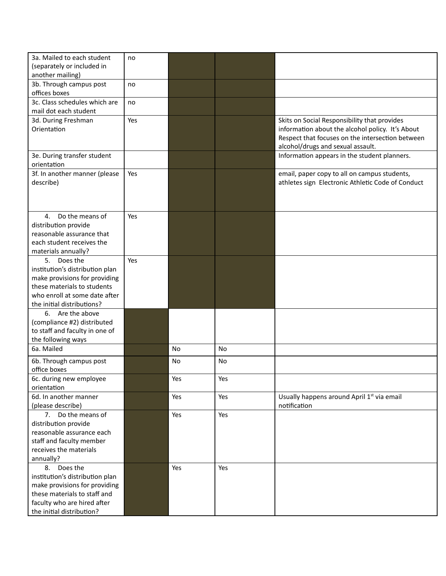| 3a. Mailed to each student<br>(separately or included in<br>another mailing)                                                                                                     | no  |     |     |                                                                                                                                                                                           |
|----------------------------------------------------------------------------------------------------------------------------------------------------------------------------------|-----|-----|-----|-------------------------------------------------------------------------------------------------------------------------------------------------------------------------------------------|
| 3b. Through campus post<br>offices boxes                                                                                                                                         | no  |     |     |                                                                                                                                                                                           |
| 3c. Class schedules which are<br>mail dot each student                                                                                                                           | no  |     |     |                                                                                                                                                                                           |
| 3d. During Freshman<br>Orientation                                                                                                                                               | Yes |     |     | Skits on Social Responsibility that provides<br>information about the alcohol policy. It's About<br>Respect that focuses on the intersection between<br>alcohol/drugs and sexual assault. |
| 3e. During transfer student<br>orientation                                                                                                                                       |     |     |     | Information appears in the student planners.                                                                                                                                              |
| 3f. In another manner (please<br>describe)                                                                                                                                       | Yes |     |     | email, paper copy to all on campus students,<br>athletes sign Electronic Athletic Code of Conduct                                                                                         |
| Do the means of<br>4.<br>distribution provide<br>reasonable assurance that<br>each student receives the<br>materials annually?                                                   | Yes |     |     |                                                                                                                                                                                           |
| Does the<br>5.<br>institution's distribution plan<br>make provisions for providing<br>these materials to students<br>who enroll at some date after<br>the initial distributions? | Yes |     |     |                                                                                                                                                                                           |
| 6.<br>Are the above<br>(compliance #2) distributed<br>to staff and faculty in one of<br>the following ways                                                                       |     |     |     |                                                                                                                                                                                           |
| 6a. Mailed                                                                                                                                                                       |     | No  | No  |                                                                                                                                                                                           |
| 6b. Through campus post<br>office boxes                                                                                                                                          |     | No  | No  |                                                                                                                                                                                           |
| 6c. during new employee<br>orientation                                                                                                                                           |     | Yes | Yes |                                                                                                                                                                                           |
| 6d. In another manner<br>(please describe)                                                                                                                                       |     | Yes | Yes | Usually happens around April 1st via email<br>notification                                                                                                                                |
| 7. Do the means of<br>distribution provide<br>reasonable assurance each<br>staff and faculty member<br>receives the materials<br>annually?                                       |     | Yes | Yes |                                                                                                                                                                                           |
| Does the<br>8.<br>institution's distribution plan<br>make provisions for providing<br>these materials to staff and<br>faculty who are hired after<br>the initial distribution?   |     | Yes | Yes |                                                                                                                                                                                           |